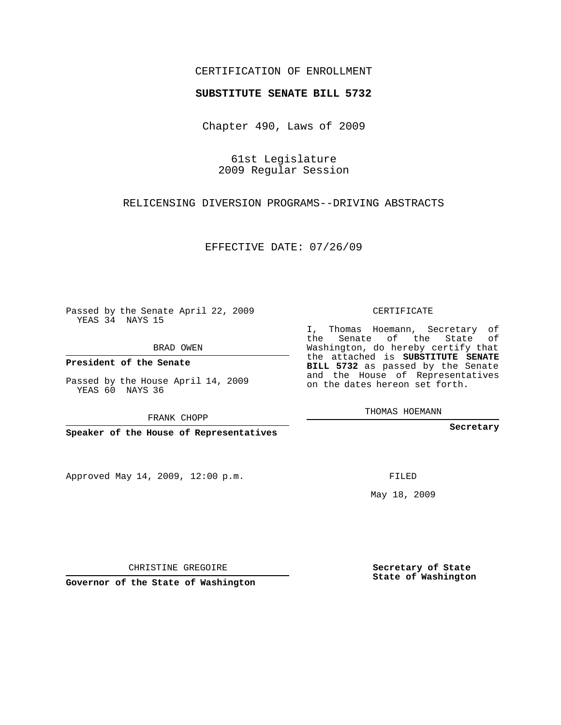## CERTIFICATION OF ENROLLMENT

## **SUBSTITUTE SENATE BILL 5732**

Chapter 490, Laws of 2009

61st Legislature 2009 Regular Session

RELICENSING DIVERSION PROGRAMS--DRIVING ABSTRACTS

EFFECTIVE DATE: 07/26/09

Passed by the Senate April 22, 2009 YEAS 34 NAYS 15

BRAD OWEN

**President of the Senate**

Passed by the House April 14, 2009 YEAS 60 NAYS 36

FRANK CHOPP

**Speaker of the House of Representatives**

Approved May 14, 2009, 12:00 p.m.

CERTIFICATE

I, Thomas Hoemann, Secretary of the Senate of the State of Washington, do hereby certify that the attached is **SUBSTITUTE SENATE BILL 5732** as passed by the Senate and the House of Representatives on the dates hereon set forth.

THOMAS HOEMANN

**Secretary**

FILED

May 18, 2009

**Secretary of State State of Washington**

CHRISTINE GREGOIRE

**Governor of the State of Washington**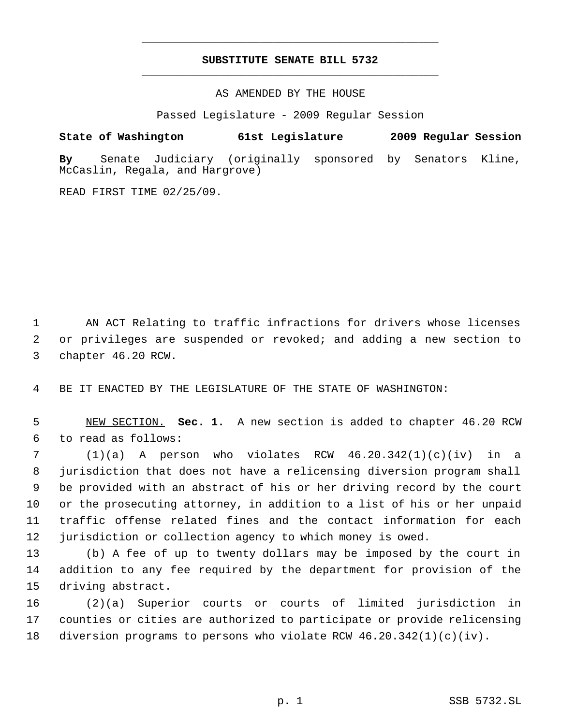## **SUBSTITUTE SENATE BILL 5732** \_\_\_\_\_\_\_\_\_\_\_\_\_\_\_\_\_\_\_\_\_\_\_\_\_\_\_\_\_\_\_\_\_\_\_\_\_\_\_\_\_\_\_\_\_

\_\_\_\_\_\_\_\_\_\_\_\_\_\_\_\_\_\_\_\_\_\_\_\_\_\_\_\_\_\_\_\_\_\_\_\_\_\_\_\_\_\_\_\_\_

AS AMENDED BY THE HOUSE

Passed Legislature - 2009 Regular Session

**State of Washington 61st Legislature 2009 Regular Session**

**By** Senate Judiciary (originally sponsored by Senators Kline, McCaslin, Regala, and Hargrove)

READ FIRST TIME 02/25/09.

 AN ACT Relating to traffic infractions for drivers whose licenses or privileges are suspended or revoked; and adding a new section to chapter 46.20 RCW.

BE IT ENACTED BY THE LEGISLATURE OF THE STATE OF WASHINGTON:

 NEW SECTION. **Sec. 1.** A new section is added to chapter 46.20 RCW to read as follows:

 (1)(a) A person who violates RCW 46.20.342(1)(c)(iv) in a jurisdiction that does not have a relicensing diversion program shall be provided with an abstract of his or her driving record by the court or the prosecuting attorney, in addition to a list of his or her unpaid traffic offense related fines and the contact information for each jurisdiction or collection agency to which money is owed.

 (b) A fee of up to twenty dollars may be imposed by the court in addition to any fee required by the department for provision of the driving abstract.

 (2)(a) Superior courts or courts of limited jurisdiction in counties or cities are authorized to participate or provide relicensing diversion programs to persons who violate RCW 46.20.342(1)(c)(iv).